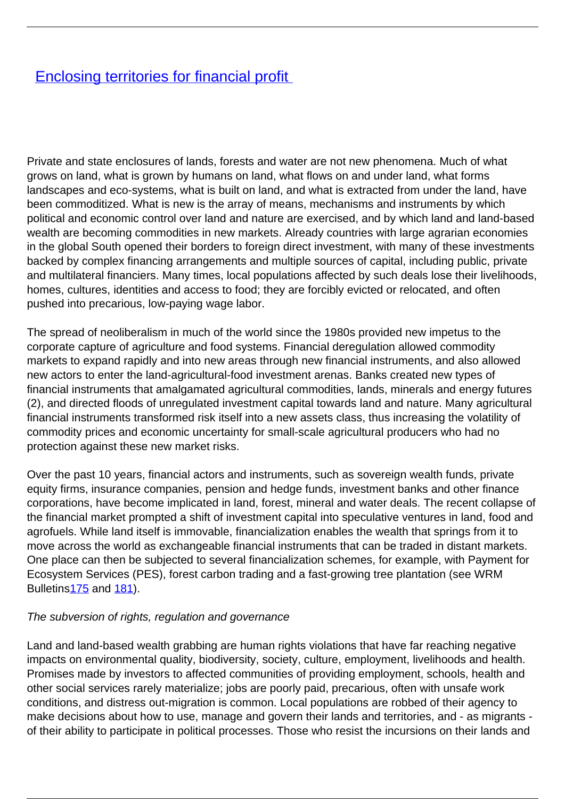## **[Enclosing territories for financial profit](/bulletin-articles/enclosing-territories-for-financial-profit)**

Private and state enclosures of lands, forests and water are not new phenomena. Much of what grows on land, what is grown by humans on land, what flows on and under land, what forms landscapes and eco-systems, what is built on land, and what is extracted from under the land, have been commoditized. What is new is the array of means, mechanisms and instruments by which political and economic control over land and nature are exercised, and by which land and land-based wealth are becoming commodities in new markets. Already countries with large agrarian economies in the global South opened their borders to foreign direct investment, with many of these investments backed by complex financing arrangements and multiple sources of capital, including public, private and multilateral financiers. Many times, local populations affected by such deals lose their livelihoods, homes, cultures, identities and access to food; they are forcibly evicted or relocated, and often pushed into precarious, low-paying wage labor.

The spread of neoliberalism in much of the world since the 1980s provided new impetus to the corporate capture of agriculture and food systems. Financial deregulation allowed commodity markets to expand rapidly and into new areas through new financial instruments, and also allowed new actors to enter the land-agricultural-food investment arenas. Banks created new types of financial instruments that amalgamated agricultural commodities, lands, minerals and energy futures (2), and directed floods of unregulated investment capital towards land and nature. Many agricultural financial instruments transformed risk itself into a new assets class, thus increasing the volatility of commodity prices and economic uncertainty for small-scale agricultural producers who had no protection against these new market risks.

Over the past 10 years, financial actors and instruments, such as sovereign wealth funds, private equity firms, insurance companies, pension and hedge funds, investment banks and other finance corporations, have become implicated in land, forest, mineral and water deals. The recent collapse of the financial market prompted a shift of investment capital into speculative ventures in land, food and agrofuels. While land itself is immovable, financialization enables the wealth that springs from it to move across the world as exchangeable financial instruments that can be traded in distant markets. One place can then be subjected to several financialization schemes, for example, with Payment for Ecosystem Services (PES), forest carbon trading and a fast-growing tree plantation (see WRM Bulletins<sub>175</sub> and [181](http://wrm.org.uy/bulletins/issue-181/)).

## The subversion of rights, regulation and governance

Land and land-based wealth grabbing are human rights violations that have far reaching negative impacts on environmental quality, biodiversity, society, culture, employment, livelihoods and health. Promises made by investors to affected communities of providing employment, schools, health and other social services rarely materialize; jobs are poorly paid, precarious, often with unsafe work conditions, and distress out-migration is common. Local populations are robbed of their agency to make decisions about how to use, manage and govern their lands and territories, and - as migrants of their ability to participate in political processes. Those who resist the incursions on their lands and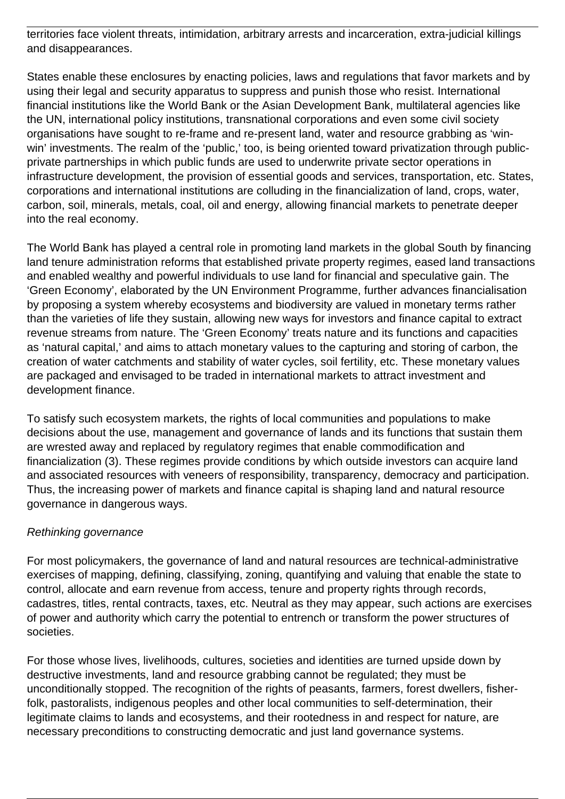territories face violent threats, intimidation, arbitrary arrests and incarceration, extra-judicial killings and disappearances.

States enable these enclosures by enacting policies, laws and regulations that favor markets and by using their legal and security apparatus to suppress and punish those who resist. International financial institutions like the World Bank or the Asian Development Bank, multilateral agencies like the UN, international policy institutions, transnational corporations and even some civil society organisations have sought to re-frame and re-present land, water and resource grabbing as 'winwin' investments. The realm of the 'public,' too, is being oriented toward privatization through publicprivate partnerships in which public funds are used to underwrite private sector operations in infrastructure development, the provision of essential goods and services, transportation, etc. States, corporations and international institutions are colluding in the financialization of land, crops, water, carbon, soil, minerals, metals, coal, oil and energy, allowing financial markets to penetrate deeper into the real economy.

The World Bank has played a central role in promoting land markets in the global South by financing land tenure administration reforms that established private property regimes, eased land transactions and enabled wealthy and powerful individuals to use land for financial and speculative gain. The 'Green Economy', elaborated by the UN Environment Programme, further advances financialisation by proposing a system whereby ecosystems and biodiversity are valued in monetary terms rather than the varieties of life they sustain, allowing new ways for investors and finance capital to extract revenue streams from nature. The 'Green Economy' treats nature and its functions and capacities as 'natural capital,' and aims to attach monetary values to the capturing and storing of carbon, the creation of water catchments and stability of water cycles, soil fertility, etc. These monetary values are packaged and envisaged to be traded in international markets to attract investment and development finance.

To satisfy such ecosystem markets, the rights of local communities and populations to make decisions about the use, management and governance of lands and its functions that sustain them are wrested away and replaced by regulatory regimes that enable commodification and financialization (3). These regimes provide conditions by which outside investors can acquire land and associated resources with veneers of responsibility, transparency, democracy and participation. Thus, the increasing power of markets and finance capital is shaping land and natural resource governance in dangerous ways.

## Rethinking governance

For most policymakers, the governance of land and natural resources are technical-administrative exercises of mapping, defining, classifying, zoning, quantifying and valuing that enable the state to control, allocate and earn revenue from access, tenure and property rights through records, cadastres, titles, rental contracts, taxes, etc. Neutral as they may appear, such actions are exercises of power and authority which carry the potential to entrench or transform the power structures of societies.

For those whose lives, livelihoods, cultures, societies and identities are turned upside down by destructive investments, land and resource grabbing cannot be regulated; they must be unconditionally stopped. The recognition of the rights of peasants, farmers, forest dwellers, fisherfolk, pastoralists, indigenous peoples and other local communities to self-determination, their legitimate claims to lands and ecosystems, and their rootedness in and respect for nature, are necessary preconditions to constructing democratic and just land governance systems.